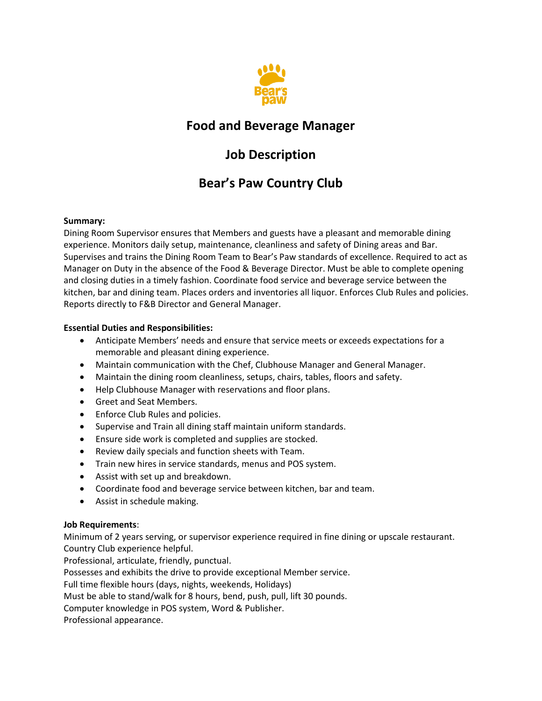

# **Food and Beverage Manager**

# **Job Description**

# **Bear's Paw Country Club**

### **Summary:**

Dining Room Supervisor ensures that Members and guests have a pleasant and memorable dining experience. Monitors daily setup, maintenance, cleanliness and safety of Dining areas and Bar. Supervises and trains the Dining Room Team to Bear's Paw standards of excellence. Required to act as Manager on Duty in the absence of the Food & Beverage Director. Must be able to complete opening and closing duties in a timely fashion. Coordinate food service and beverage service between the kitchen, bar and dining team. Places orders and inventories all liquor. Enforces Club Rules and policies. Reports directly to F&B Director and General Manager.

### **Essential Duties and Responsibilities:**

- Anticipate Members' needs and ensure that service meets or exceeds expectations for a memorable and pleasant dining experience.
- Maintain communication with the Chef, Clubhouse Manager and General Manager.
- Maintain the dining room cleanliness, setups, chairs, tables, floors and safety.
- Help Clubhouse Manager with reservations and floor plans.
- Greet and Seat Members.
- Enforce Club Rules and policies.
- Supervise and Train all dining staff maintain uniform standards.
- Ensure side work is completed and supplies are stocked.
- Review daily specials and function sheets with Team.
- Train new hires in service standards, menus and POS system.
- Assist with set up and breakdown.
- Coordinate food and beverage service between kitchen, bar and team.
- Assist in schedule making.

### **Job Requirements**:

Minimum of 2 years serving, or supervisor experience required in fine dining or upscale restaurant. Country Club experience helpful.

Professional, articulate, friendly, punctual.

Possesses and exhibits the drive to provide exceptional Member service.

Full time flexible hours (days, nights, weekends, Holidays)

Must be able to stand/walk for 8 hours, bend, push, pull, lift 30 pounds.

Computer knowledge in POS system, Word & Publisher.

Professional appearance.